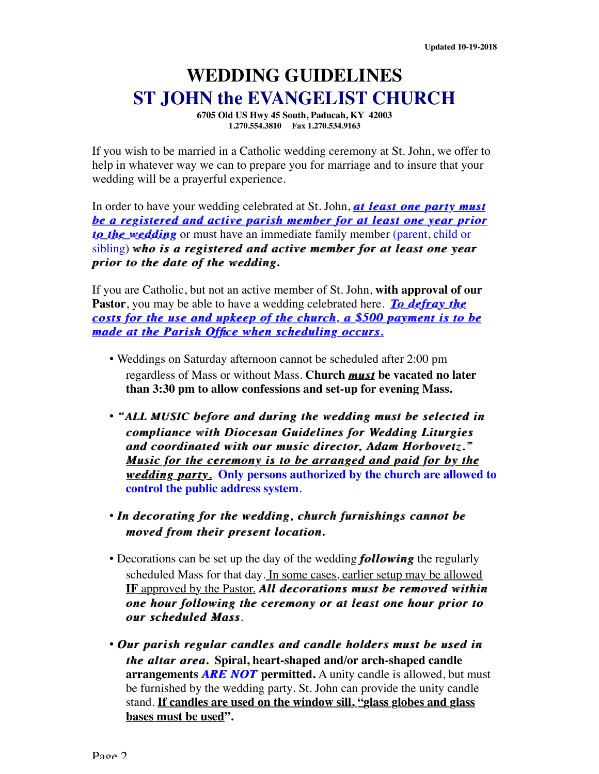## **WEDDING GUIDELINES ST JOHN the EVANGELIST CHURCH**

**6705 Old US Hwy 45 South, Paducah, KY 42003 1.270.554.3810 Fax 1.270.534.9163**

If you wish to be married in a Catholic wedding ceremony at St. John, we offer to help in whatever way we can to prepare you for marriage and to insure that your wedding will be a prayerful experience.

In order to have your wedding celebrated at St. John, **at least one party must** *be a registered and active parish member for at least one year prior* **to the wedding** or must have an immediate family member (parent, child or sibling) *who is a registered and active member for at least one year who is a registered and active member for at least one year prior to the date of the wedding prior to the date of the wedding***.** 

If you are Catholic, but not an active member of St. John, **with approval of our Pastor**, you may be able to have a wedding celebrated here. *To defray the To defray the costs for the use and upkeep of the church, a \$500 payment is to be costs for the use and upkeep of the church, a \$500 payment is to be made at the Parish Office when scheduling occurs.* 

- Weddings on Saturday afternoon cannot be scheduled after 2:00 pm regardless of Mass or without Mass. **Church** *must must* **be vacated no later than 3:30 pm to allow confessions and set-up for evening Mass.**
- "ALL MUSIC before and during the wedding must be selected in *compliance with Diocesan Guidelines for Wedding Liturgies compliance with Diocesan Guidelines for Wedding Liturgies and coordinated with our music director, Adam Horbovetz.*" *Music for the ceremony is to be arranged and paid for by the <u>wedding party.</u>* **Only persons authorized by the church are allowed to control the public address system**.
- *In decorating for the wedding, church furnishings cannot be moved* from their present location.
- Decorations can be set up the day of the wedding *following following* the regularly scheduled Mass for that day. In some cases, earlier setup may be allowed **IF** approved by the Pastor. All decorations must be removed within *<i>one hour following the ceremony or at least one hour prior to <u>our</u> scheduled Mass.*
- Our parish regular candles and candle holders must be used in *the altar area.* Spiral, heart-shaped and/or arch-shaped candle **arrangements** *ARE NOT* permitted. A unity candle is allowed, but must be furnished by the wedding party. St. John can provide the unity candle stand. **If candles are used on the window sill, "glass globes and glass bases must be used".**